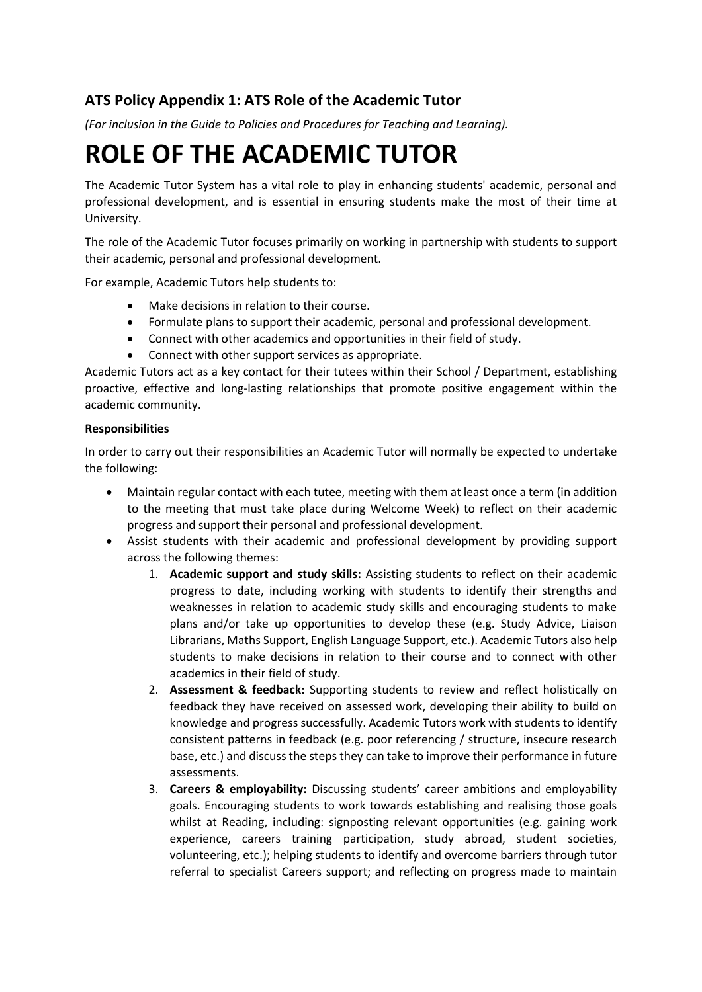## **ATS Policy Appendix 1: ATS Role of the Academic Tutor**

*(For inclusion in the Guide to Policies and Procedures for Teaching and Learning).*

## **ROLE OF THE ACADEMIC TUTOR**

The Academic Tutor System has a vital role to play in enhancing students' academic, personal and professional development, and is essential in ensuring students make the most of their time at University.

The role of the Academic Tutor focuses primarily on working in partnership with students to support their academic, personal and professional development.

For example, Academic Tutors help students to:

- Make decisions in relation to their course.
- Formulate plans to support their academic, personal and professional development.
- Connect with other academics and opportunities in their field of study.
- Connect with other support services as appropriate.

Academic Tutors act as a key contact for their tutees within their School / Department, establishing proactive, effective and long-lasting relationships that promote positive engagement within the academic community.

## **Responsibilities**

In order to carry out their responsibilities an Academic Tutor will normally be expected to undertake the following:

- Maintain regular contact with each tutee, meeting with them at least once a term (in addition to the meeting that must take place during Welcome Week) to reflect on their academic progress and support their personal and professional development.
- Assist students with their academic and professional development by providing support across the following themes:
	- 1. **Academic support and study skills:** Assisting students to reflect on their academic progress to date, including working with students to identify their strengths and weaknesses in relation to academic study skills and encouraging students to make plans and/or take up opportunities to develop these (e.g. Study Advice, Liaison Librarians, Maths Support, English Language Support, etc.). Academic Tutors also help students to make decisions in relation to their course and to connect with other academics in their field of study.
	- 2. **Assessment & feedback:** Supporting students to review and reflect holistically on feedback they have received on assessed work, developing their ability to build on knowledge and progress successfully. Academic Tutors work with students to identify consistent patterns in feedback (e.g. poor referencing / structure, insecure research base, etc.) and discuss the steps they can take to improve their performance in future assessments.
	- 3. **Careers & employability:** Discussing students' career ambitions and employability goals. Encouraging students to work towards establishing and realising those goals whilst at Reading, including: signposting relevant opportunities (e.g. gaining work experience, careers training participation, study abroad, student societies, volunteering, etc.); helping students to identify and overcome barriers through tutor referral to specialist Careers support; and reflecting on progress made to maintain